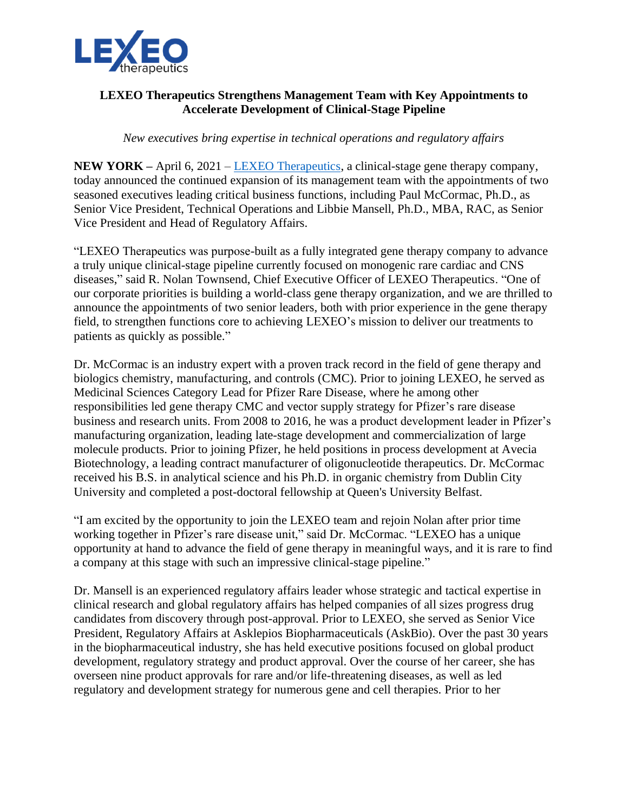

## **LEXEO Therapeutics Strengthens Management Team with Key Appointments to Accelerate Development of Clinical-Stage Pipeline**

*New executives bring expertise in technical operations and regulatory affairs*

**NEW YORK –** April 6, 2021 – [LEXEO Therapeutics,](https://www.lexeotx.com/) a clinical-stage gene therapy company, today announced the continued expansion of its management team with the appointments of two seasoned executives leading critical business functions, including Paul McCormac, Ph.D., as Senior Vice President, Technical Operations and Libbie Mansell, Ph.D., MBA, RAC, as Senior Vice President and Head of Regulatory Affairs.

"LEXEO Therapeutics was purpose-built as a fully integrated gene therapy company to advance a truly unique clinical-stage pipeline currently focused on monogenic rare cardiac and CNS diseases," said R. Nolan Townsend, Chief Executive Officer of LEXEO Therapeutics. "One of our corporate priorities is building a world-class gene therapy organization, and we are thrilled to announce the appointments of two senior leaders, both with prior experience in the gene therapy field, to strengthen functions core to achieving LEXEO's mission to deliver our treatments to patients as quickly as possible."

Dr. McCormac is an industry expert with a proven track record in the field of gene therapy and biologics chemistry, manufacturing, and controls (CMC). Prior to joining LEXEO, he served as Medicinal Sciences Category Lead for Pfizer Rare Disease, where he among other responsibilities led gene therapy CMC and vector supply strategy for Pfizer's rare disease business and research units. From 2008 to 2016, he was a product development leader in Pfizer's manufacturing organization, leading late-stage development and commercialization of large molecule products. Prior to joining Pfizer, he held positions in process development at Avecia Biotechnology, a leading contract manufacturer of oligonucleotide therapeutics. Dr. McCormac received his B.S. in analytical science and his Ph.D. in organic chemistry from Dublin City University and completed a post-doctoral fellowship at Queen's University Belfast.

"I am excited by the opportunity to join the LEXEO team and rejoin Nolan after prior time working together in Pfizer's rare disease unit," said Dr. McCormac. "LEXEO has a unique opportunity at hand to advance the field of gene therapy in meaningful ways, and it is rare to find a company at this stage with such an impressive clinical-stage pipeline."

Dr. Mansell is an experienced regulatory affairs leader whose strategic and tactical expertise in clinical research and global regulatory affairs has helped companies of all sizes progress drug candidates from discovery through post-approval. Prior to LEXEO, she served as Senior Vice President, Regulatory Affairs at Asklepios Biopharmaceuticals (AskBio). Over the past 30 years in the biopharmaceutical industry, she has held executive positions focused on global product development, regulatory strategy and product approval. Over the course of her career, she has overseen nine product approvals for rare and/or life-threatening diseases, as well as led regulatory and development strategy for numerous gene and cell therapies. Prior to her